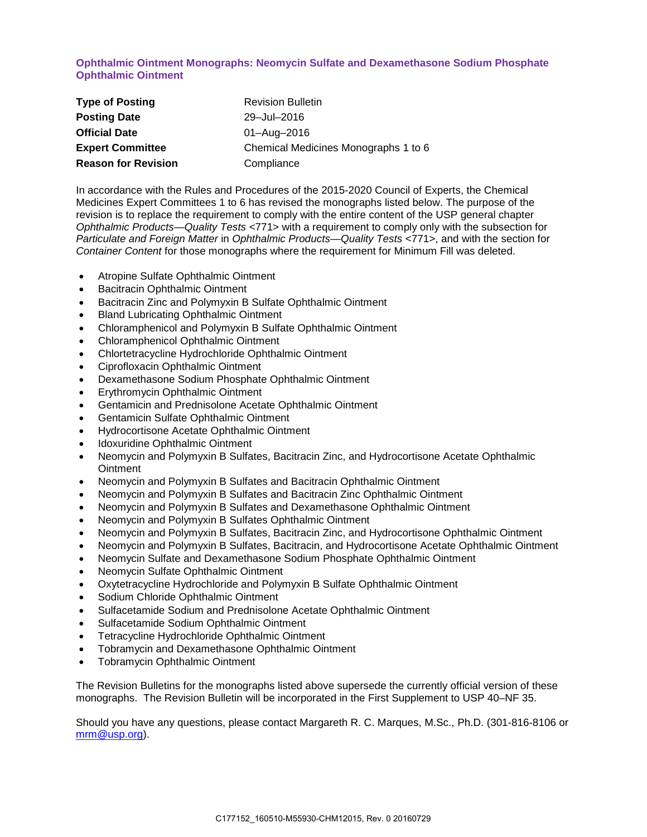**Ophthalmic Ointment Monographs: Neomycin Sulfate and Dexamethasone Sodium Phosphate Ophthalmic Ointment**

| <b>Type of Posting</b>     | <b>Revision Bulletin</b>             |
|----------------------------|--------------------------------------|
| <b>Posting Date</b>        | 29-Jul-2016                          |
| <b>Official Date</b>       | 01-Aug-2016                          |
| <b>Expert Committee</b>    | Chemical Medicines Monographs 1 to 6 |
| <b>Reason for Revision</b> | Compliance                           |

In accordance with the Rules and Procedures of the 2015-2020 Council of Experts, the Chemical Medicines Expert Committees 1 to 6 has revised the monographs listed below. The purpose of the revision is to replace the requirement to comply with the entire content of the USP general chapter *Ophthalmic Products—Quality Tests* <771> with a requirement to comply only with the subsection for *Particulate and Foreign Matter* in *Ophthalmic Products—Quality Tests* <771>, and with the section for *Container Content* for those monographs where the requirement for Minimum Fill was deleted.

- Atropine Sulfate Ophthalmic Ointment
- Bacitracin Ophthalmic Ointment
- Bacitracin Zinc and Polymyxin B Sulfate Ophthalmic Ointment
- Bland Lubricating Ophthalmic Ointment
- Chloramphenicol and Polymyxin B Sulfate Ophthalmic Ointment
- Chloramphenicol Ophthalmic Ointment
- Chlortetracycline Hydrochloride Ophthalmic Ointment
- Ciprofloxacin Ophthalmic Ointment
- Dexamethasone Sodium Phosphate Ophthalmic Ointment
- Erythromycin Ophthalmic Ointment
- Gentamicin and Prednisolone Acetate Ophthalmic Ointment
- Gentamicin Sulfate Ophthalmic Ointment
- Hydrocortisone Acetate Ophthalmic Ointment
- Idoxuridine Ophthalmic Ointment
- Neomycin and Polymyxin B Sulfates, Bacitracin Zinc, and Hydrocortisone Acetate Ophthalmic **Ointment**
- Neomycin and Polymyxin B Sulfates and Bacitracin Ophthalmic Ointment
- Neomycin and Polymyxin B Sulfates and Bacitracin Zinc Ophthalmic Ointment
- Neomycin and Polymyxin B Sulfates and Dexamethasone Ophthalmic Ointment
- Neomycin and Polymyxin B Sulfates Ophthalmic Ointment
- Neomycin and Polymyxin B Sulfates, Bacitracin Zinc, and Hydrocortisone Ophthalmic Ointment
- Neomycin and Polymyxin B Sulfates, Bacitracin, and Hydrocortisone Acetate Ophthalmic Ointment
- Neomycin Sulfate and Dexamethasone Sodium Phosphate Ophthalmic Ointment
- Neomycin Sulfate Ophthalmic Ointment
- Oxytetracycline Hydrochloride and Polymyxin B Sulfate Ophthalmic Ointment
- Sodium Chloride Ophthalmic Ointment
- Sulfacetamide Sodium and Prednisolone Acetate Ophthalmic Ointment
- Sulfacetamide Sodium Ophthalmic Ointment
- Tetracycline Hydrochloride Ophthalmic Ointment
- Tobramycin and Dexamethasone Ophthalmic Ointment
- Tobramycin Ophthalmic Ointment

The Revision Bulletins for the monographs listed above supersede the currently official version of these monographs. The Revision Bulletin will be incorporated in the First Supplement to USP 40–NF 35.

Should you have any questions, please contact Margareth R. C. Marques, M.Sc., Ph.D. (301-816-8106 or [mrm@usp.org\)](mailto:mrm@usp.org).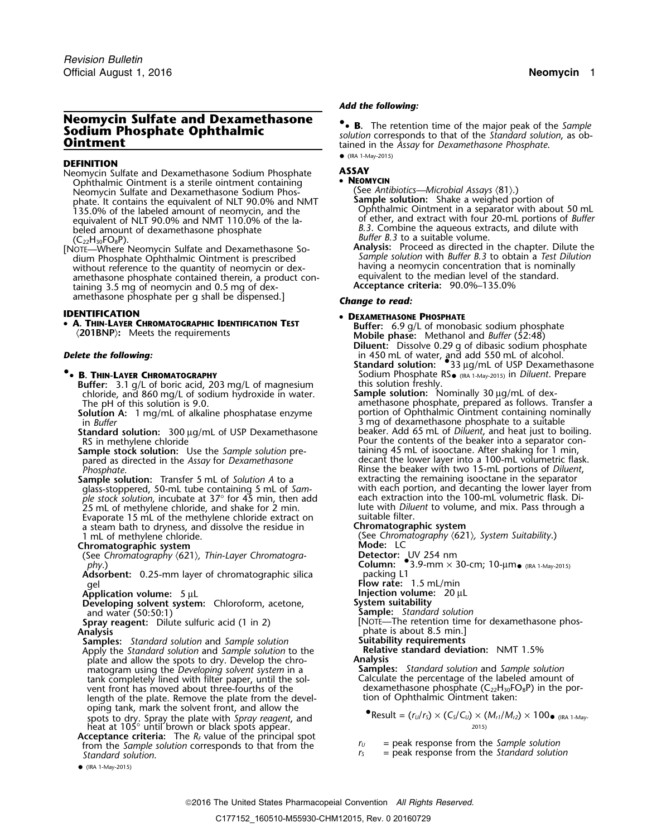# **Neomycin Sulfate and Dexamethasone •**

## **DEFINITION**

- Neomycin Sulfate and Dexamethasone Sodium Phosphate **ASSAY** Ophthalmic Ointment is a sterile ointment containing<br>Neomycin Sulfate and Dexamethasone Sodium Phos-<br>phate, It contains the equivalent of NLT 90.0% and NMT<br>**Sample solution:** Shake a weighed portion of Neomycin Sulfate and Dexamethasone Sodium Phos<sup>p</sup>hate. It contains the equivalent of NLT 90.0% and NMT **Sample solution:** Shake a weighed portion of 135.0% of the labeled amount of neomycin, and the Ophthalmic Ointment in a separator with about 50 mL equivalent of NLT 90.0% and NMT 110.0% of the la-<br>heled amount of dexamethasone phosphate beled amount of dexamethasone phosphate *B.3.* Combine the aqueous extracts, and dilute with beled amount of dexamethasone phosphate *(C<sub>22</sub>H*<sub>30</sub>FO<sub>8</sub>P).
- [NOTE—Where Neomycin Sulfate and Dexamethasone So-<br>dium Phosphate Ophthalmic Ointment is prescribed without reference to the quantity of neomycin or dex- having a neomycin concentration that is nomin<br>amethasone phosphate contained therein a product con- equivalent to the median level of the standard. amethasone phosphate contained therein, a product con-<br>taining 3.5 mg of neomycin and 0.5 mg of dex-<br>**Acceptance criteria:** 90.0%–135.0% taining 3.5 mg of neomycin and 0.5 mg of dexamethasone phosphate per g shall be dispensed.] *Change to read:*

**IDENTIFICATION<br>• A. Thin-Layer Chromatographic Identification Test** •

- **8. THIN-LAYER CHROMATOGRAPHY**<br>**Buffer:** 3.1 g/L of boric acid, 203 mg/L of magnesium this solution freshly **Buffer:** 3.1 g/L of boric acid, 203 mg/L of magnesium this solution freshly.<br>chloride, and 860 mg/L of sodium hydroxide in water. **Sample solution:** Nominally 30 µg/mL of dexchloride, and 860 mg/L of sodium hydroxide in water. The pH of this solution is 9.0.
	- **Solution A:** 1 mg/mL of alkaline phosphatase enzyme **portion of Ophthalmic Ointment containing nominally**
	- Standard solution: 300 µg/mL of USP Dexamethasone<br>RS in methylene chloride
	- pared as directed in the *Assay* for *Dexamethasone* Phosphate.
	- **Sample solution:** Transfer 5 mL of *Solution A* to a extracting the remaining isooctane in the separator *ple stock solution*, incubate at 37° for 45 min, then add each extraction into the 100-mL volumetric flask. Di-<br>25 mL of methylene chloride, and shake for 2 min. Intervith *Diluent* to volume, and mix. Pass through a 25 mL of methylene chloride, and shake for 2 min. lute with *Dilu*<br>Evaporate 1.5 mL of the methylene chloride extract on suitable filter. Evaporate 15 mL of the methylene chloride extract on suitable filter.<br>a steam bath to dryness, and dissolve the residue in **Chromatographic system** a steam bath to dryness, and dissolve the residue in 1 mL of methylene chloride.

## **Chromatographic system**

(See Chromatography  $(621)$ , Thin-Layer Chromatogra-**See Chromatography (621), Thin-Layer Chromatogra-**<br> **Column:** •3.9-mm × 30-cm; 10-µm• (IRA 1-May-2015)<br> **Column:** •3.9-mm × 30-cm; 10-µm• (IRA 1-May-2015)<br> **Adsorbent:** 0.25-mm laver of chromatographic silica packing L1

Adsorbent: 0.25-mm layer of chromatographic silica<br>qel

**Application volume:** 5 µL<br>**Developing solvent system:** Chloroform, acetone, **1998 System suitability Developing solvent system:** Chloroform, acetone, and water (50:50:1) and water (50:50:1)<br>
and water (50:50:1)<br> **Sample:** *Standard solution*<br> **Spray reagent:** Dilute sulfuric acid (1 in 2)<br> **Spray reagent:** Dilute sulfuric acid (1 in 2)

- **Samples:** *Standard solution* and *Sample solution* **Suitability requirements** Apply the *Standard solution* and *Sample solution* to the **Relative standard solution** and *Sample solution* to the **Relative standard deviation:** New 1.5% and *NMT 1.5%* and *NMT 1.5%* and *NMT 1.5%* and *NMT 1.5%* and <sup>p</sup>late and allow the spots to dry. Develop the chro- **Analysis** matogram using the *Developing solvent system* in a **Samples:** *Standard solution* and *Sample solution* tank completely lined with filter paper, until the sol- Calculate the percentage of the labeled amount of vent front has moved about three-fourths of the dexamethasone phosphate  $(C_{22}H_{30}FO_8P)$  in the por-<br>length of the plate. Remove the plate from the devel-<br>tion of Ophthalmic Ointment taken: length of the plate. Remove the plate from the developing tank, mark the solvent front, and allow the •spots to dry. Spray the plate with *Spray reagent*, and heat at 105° until brown or black spots appear. 2015)<br>Acceptance criteria: The  $R_F$  value of the principal spot
- From the Sample solution corresponds to that from the  $r_0$  = peak response from the Sample solution<br>Standard solution corresponds to that from the  $r_5$  = peak response from the Standard solution

• (IRA 1-May-2015)

# *. Add the following:*

**Sodium Phosphate and Beaming the Second Solution** of the major peak of the Sample<br> **Sodium Phosphate Ophthalmic**<br> **Ointment** tained in the Assay for Dexamethasone Phosphate. • (IRA 1-May-2015)

- 
- *Buffer B.3* to a suitable volume.<br>**Analysis:** Proceed as directed in the chapter. Dilute the Sample solution with Buffer B.3 to obtain a Test Dilution having a neomycin concentration that is nominally

# **DEXAMETHASONE PHOSPHATE**

- **A. THIN-LAYER CHROMATOGRAPHIC IDENTIFICATION LEST** Buffer: 6.9 g/L of monobasic sodium phosphate (201BNP): Meets the requirements (201BNP): Meets the requirements **Diluent:** Dissolve 0.29 g of dibasic sodium phosphate
- **Delete the following:**<br> **Standard solution:** •33 µg/mL of USP Dexamethasone<br>
Sodium Phocphata PS Sodium Phosphate RS<sub>·(IRA 1-May-2015)</sub> in *Diluent*. Prepare
	- The pH of this solution is 9.0.  $\sim$  amethasone phosphate, prepared as follows. Transfer a in *Buffer*<br>
	in *Buffer*<br>
	Simustand and solution: 300 µg/mL of USP Dexamethasone<br>
	Simustand and heat just to boiling. Pour the contents of the beaker into a separator con-<br>taining 45 mL of isooctane. After shaking for 1 min, **Sample stock solution:** Use the *Sample solution* pre-<br>pared as directed in the *Assay* for *Dexamethasone* decant the lower layer into a 100-mL volumetric flask. *Phosphate*. Rinse the beaker with two 15-mL portions of *Diluent*, <sup>g</sup>lass-stoppered, 50-mL tube containing 5 mL of *Sam-* with each portion, and decanting the lower layer from
		-

(See Chromatography  $\langle 621 \rangle$ , System Suitability.)<br>**Mode:** LC

- 
- 
- **Flow rate:** 1.5 mL/min<br>**Injection volume:** 20 μL
- 
- 
- 
- **Spray reagent:** Dilute sulfuric acid (1 in 2) [NOTE—The retention time for dexamethasone phos-<br>Analysis<br>**Analysis** phate is about 8.5 min.] **phate is about 8.5 min.]**<br>**Suitability requirements** 
	-

 $\bullet$  Result =  $(r_U/r_S) \times (C_S/C_U) \times (M_{r1}/M_{r2}) \times 100_{\bullet}$  (IRA 1-May-

- 
-